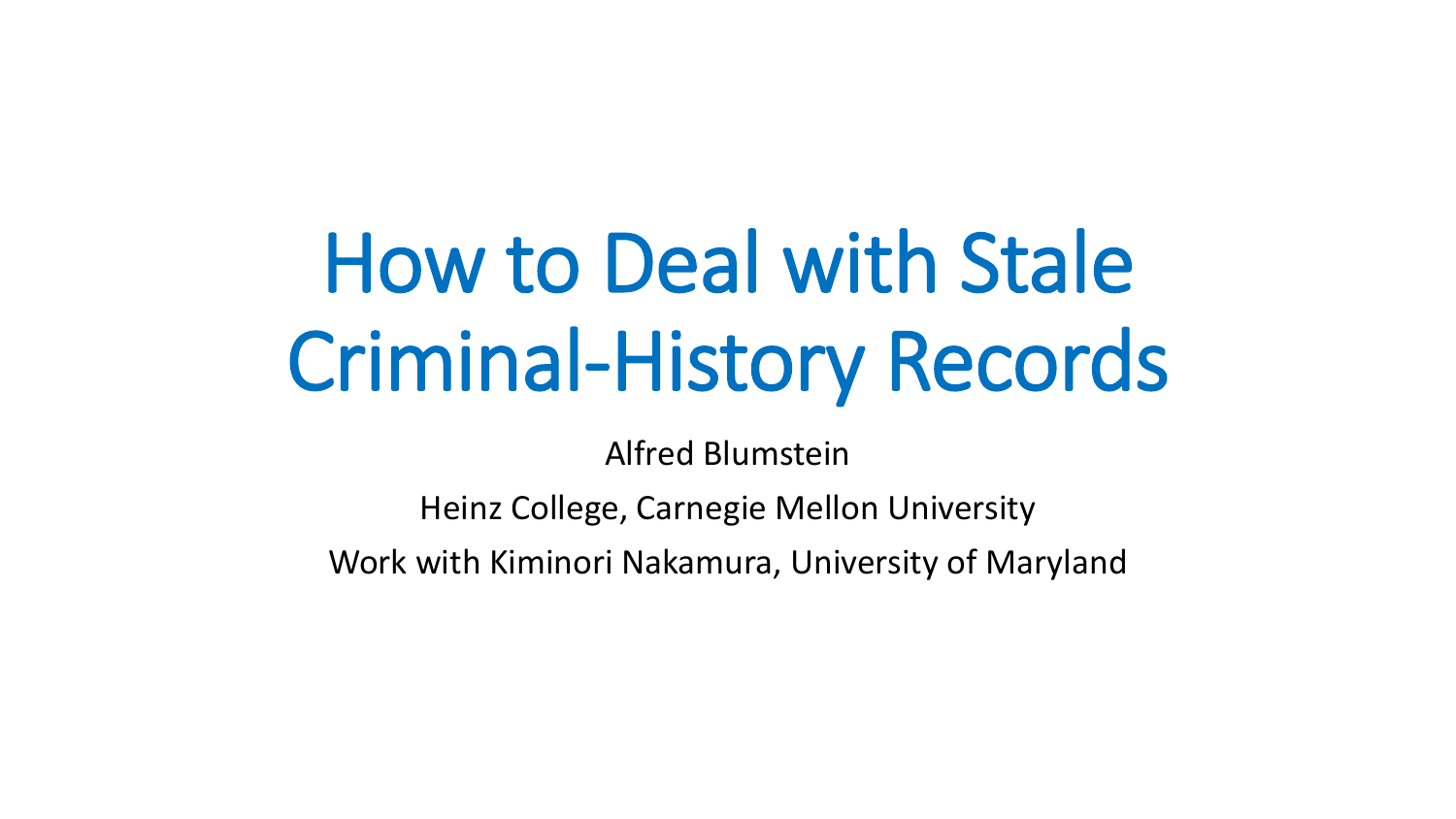# How to Deal with Stale Criminal-History Records

Alfred Blumstein

Heinz College, Carnegie Mellon University

Work with Kiminori Nakamura, University of Maryland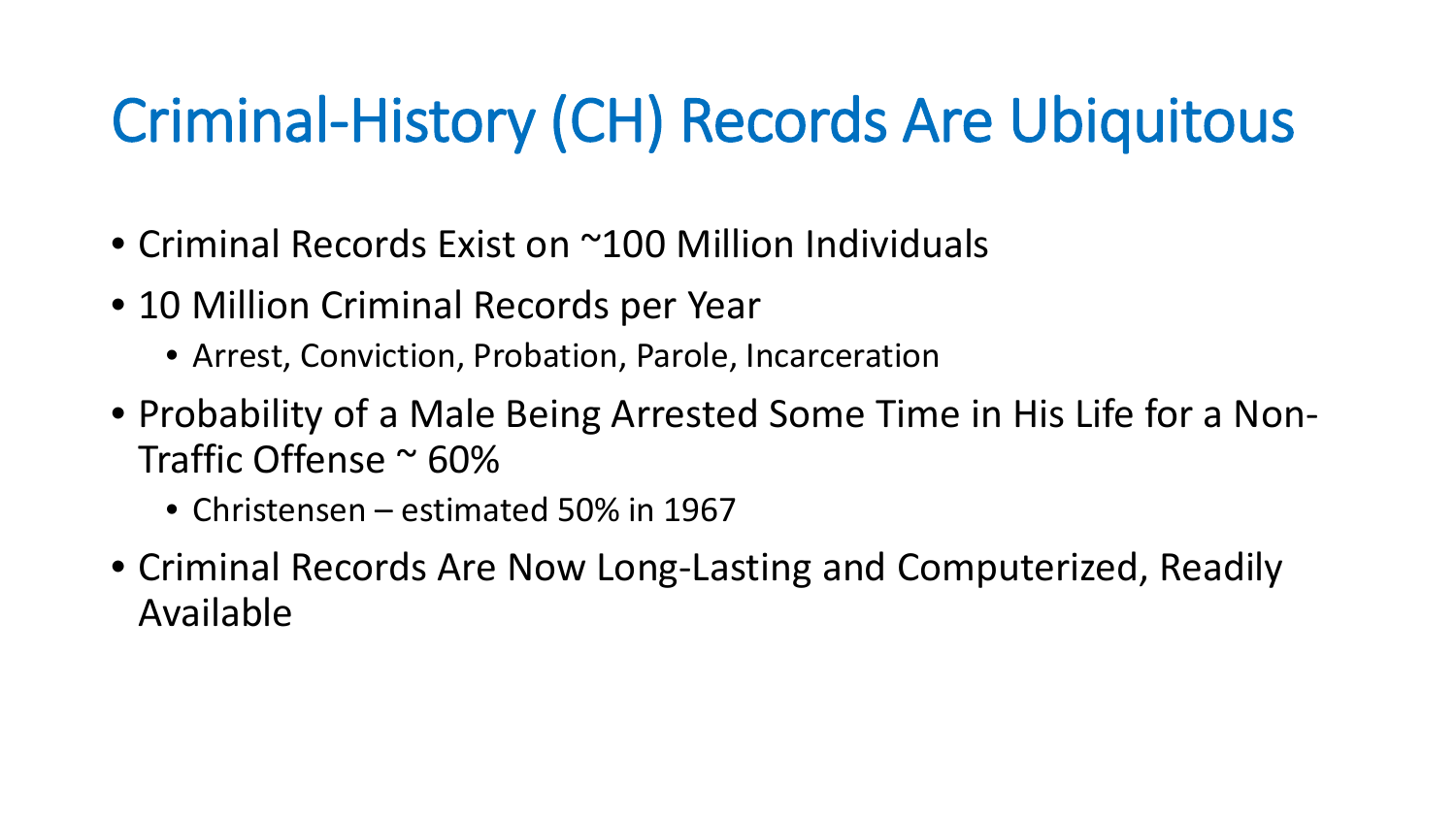### Criminal-History (CH) Records Are Ubiquitous

- Criminal Records Exist on ~100 Million Individuals
- 10 Million Criminal Records per Year
	- Arrest, Conviction, Probation, Parole, Incarceration
- Probability of a Male Being Arrested Some Time in His Life for a Non-Traffic Offense ~ 60%
	- Christensen estimated 50% in 1967
- Criminal Records Are Now Long-Lasting and Computerized, Readily Available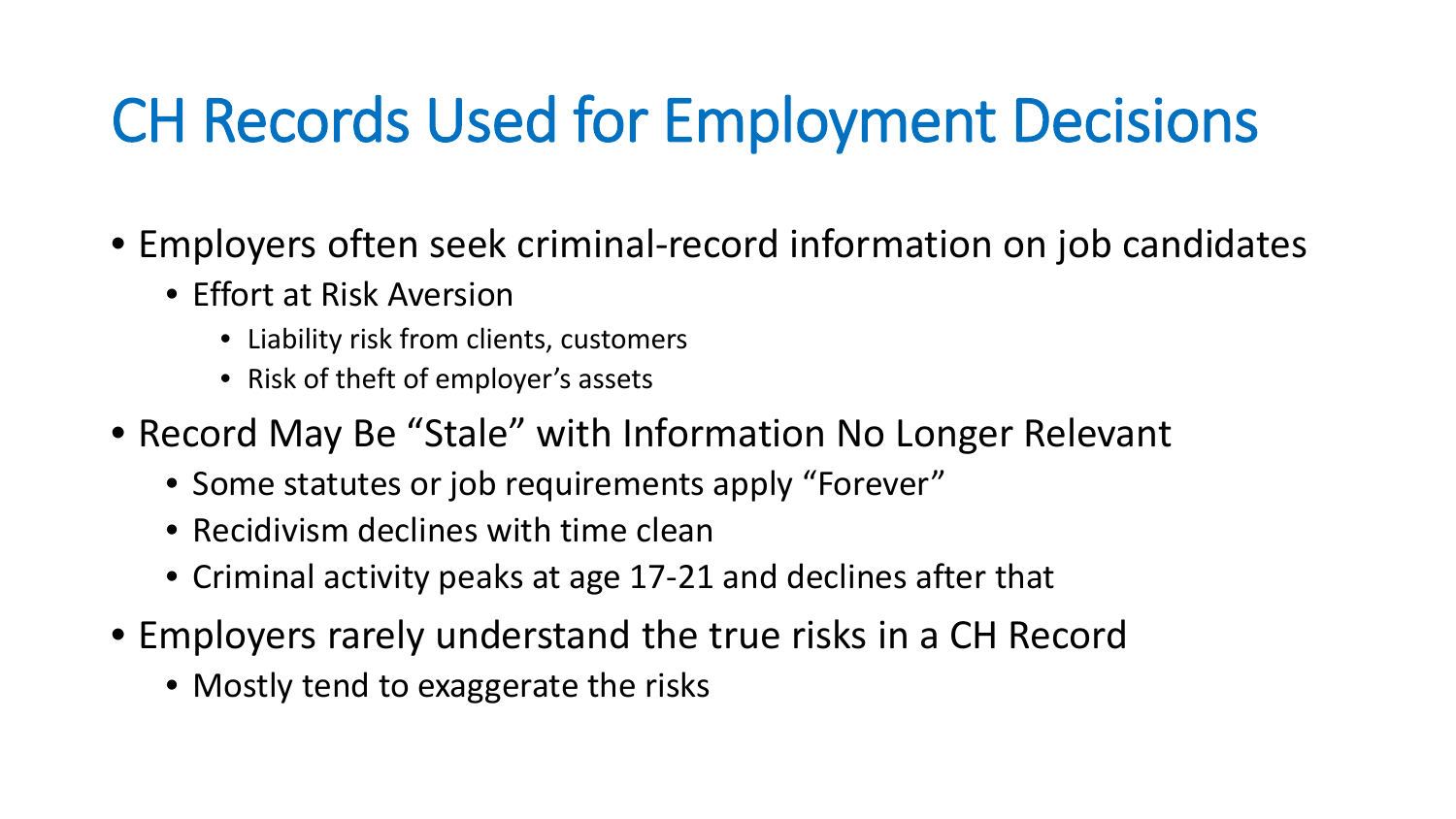### CH Records Used for Employment Decisions

- Employers often seek criminal-record information on job candidates
	- Effort at Risk Aversion
		- Liability risk from clients, customers
		- Risk of theft of employer's assets
- Record May Be "Stale" with Information No Longer Relevant
	- Some statutes or job requirements apply "Forever"
	- Recidivism declines with time clean
	- Criminal activity peaks at age 17-21 and declines after that
- Employers rarely understand the true risks in a CH Record
	- Mostly tend to exaggerate the risks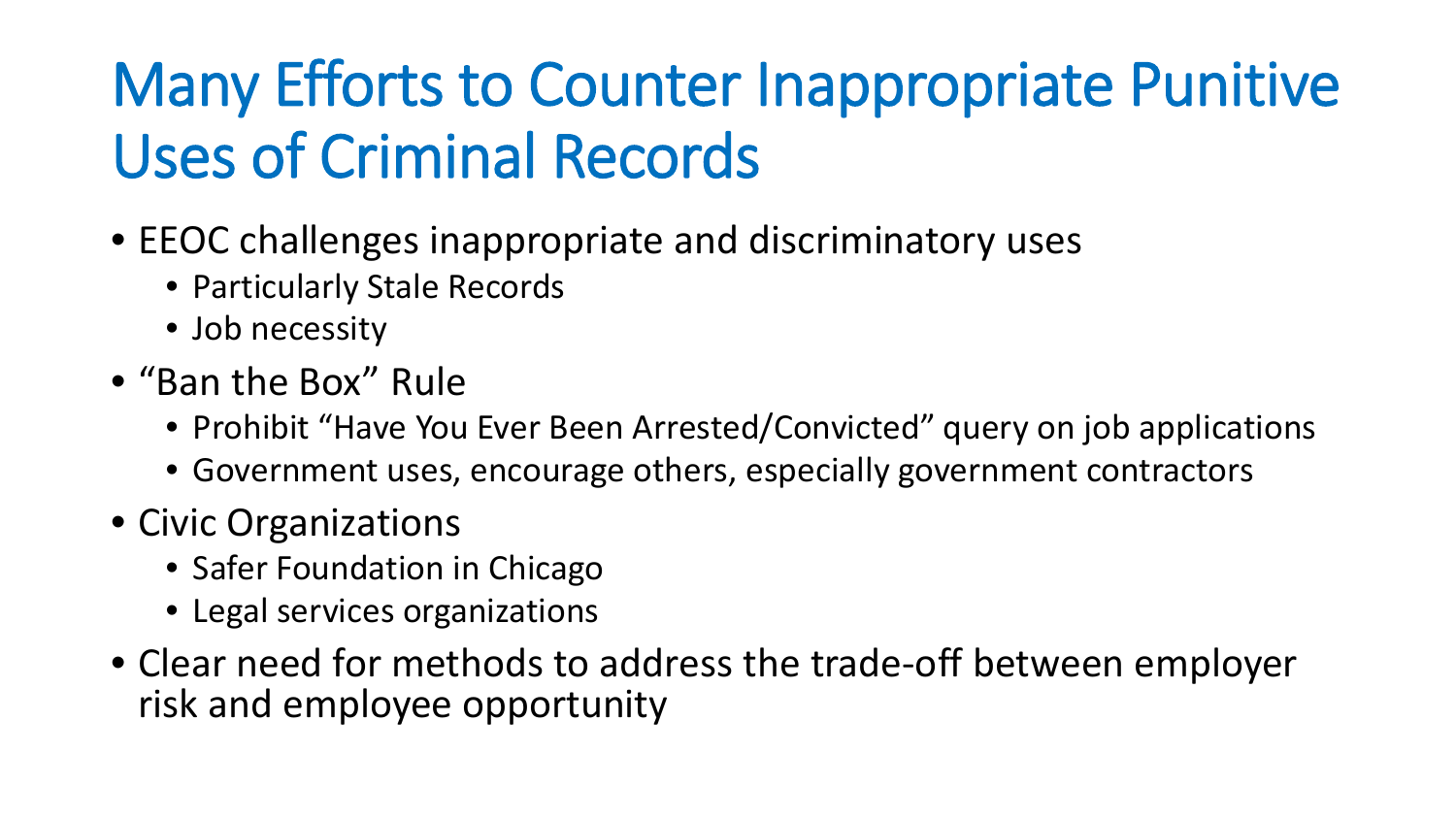# Many Efforts to Counter Inappropriate Punitive Uses of Criminal Records

- EEOC challenges inappropriate and discriminatory uses
	- Particularly Stale Records
	- Job necessity
- "Ban the Box" Rule
	- Prohibit "Have You Ever Been Arrested/Convicted" query on job applications
	- Government uses, encourage others, especially government contractors
- Civic Organizations
	- Safer Foundation in Chicago
	- Legal services organizations
- Clear need for methods to address the trade-off between employer risk and employee opportunity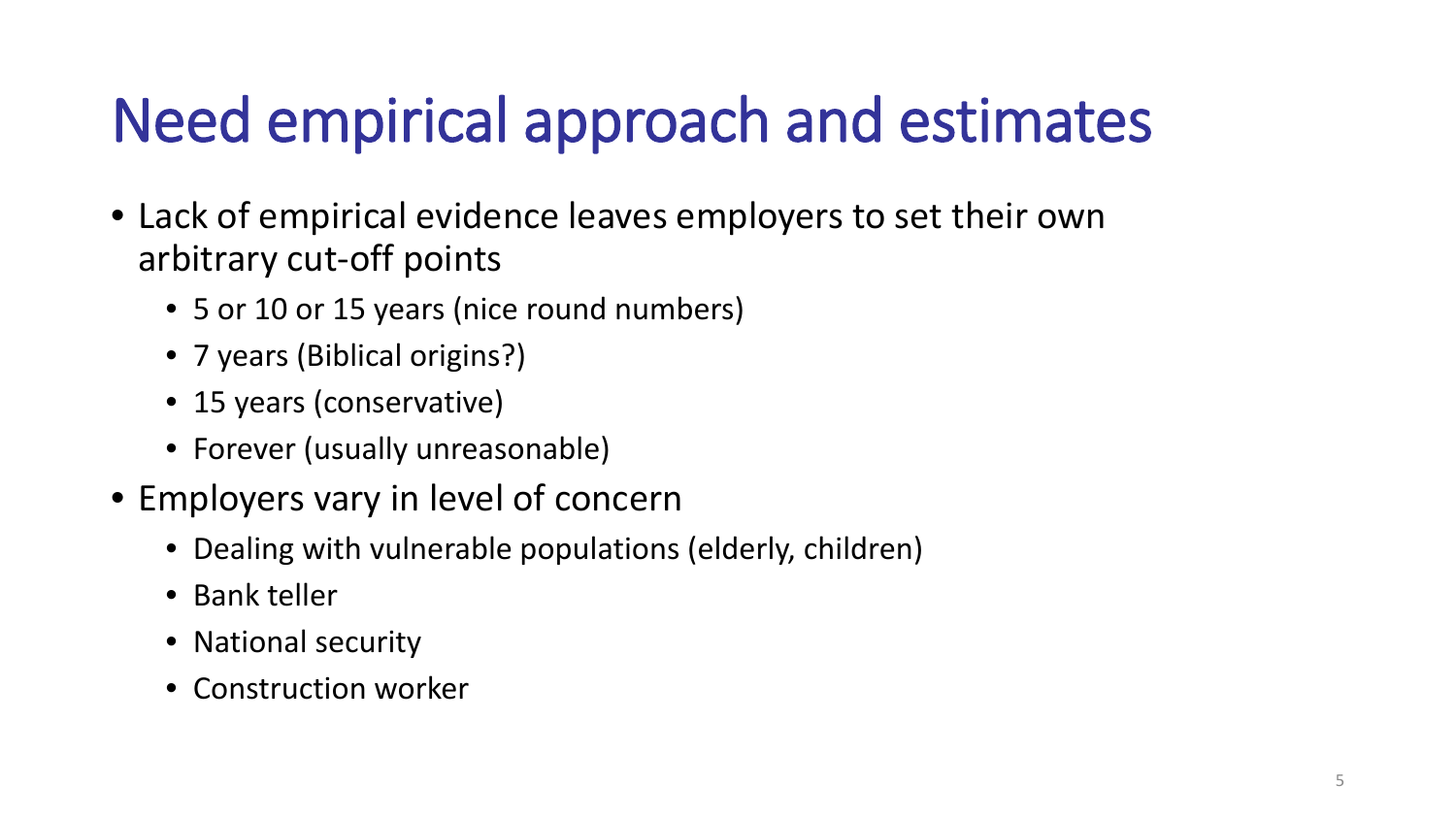# Need empirical approach and estimates

- Lack of empirical evidence leaves employers to set their own arbitrary cut-off points
	- 5 or 10 or 15 years (nice round numbers)
	- 7 years (Biblical origins?)
	- 15 years (conservative)
	- Forever (usually unreasonable)
- Employers vary in level of concern
	- Dealing with vulnerable populations (elderly, children)
	- Bank teller
	- National security
	- Construction worker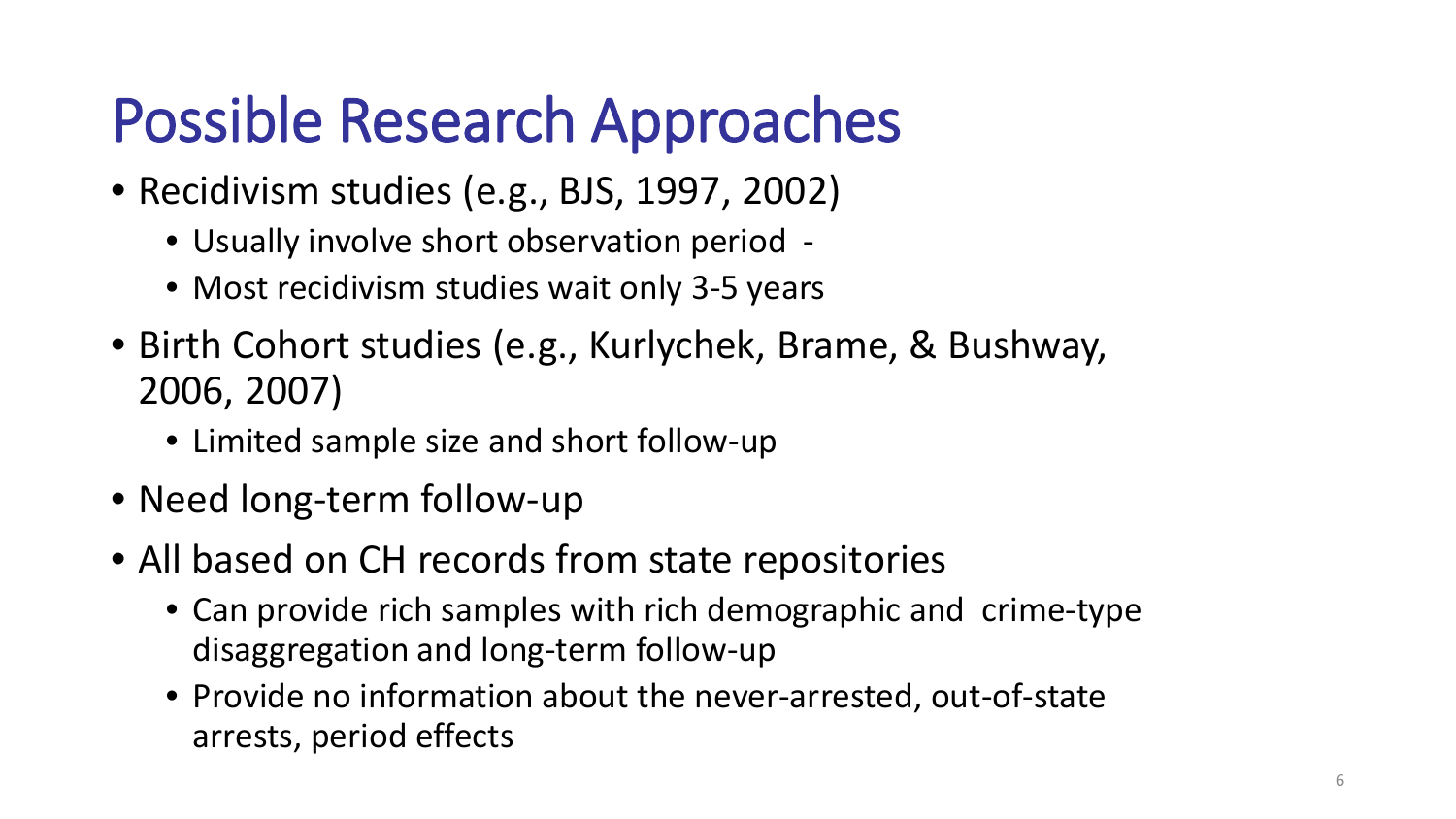### Possible Research Approaches

- Recidivism studies (e.g., BJS, 1997, 2002)
	- Usually involve short observation period -
	- Most recidivism studies wait only 3-5 years
- Birth Cohort studies (e.g., Kurlychek, Brame, & Bushway, 2006, 2007)
	- Limited sample size and short follow-up
- Need long-term follow-up
- All based on CH records from state repositories
	- Can provide rich samples with rich demographic and crime-type disaggregation and long-term follow-up
	- Provide no information about the never-arrested, out-of-state arrests, period effects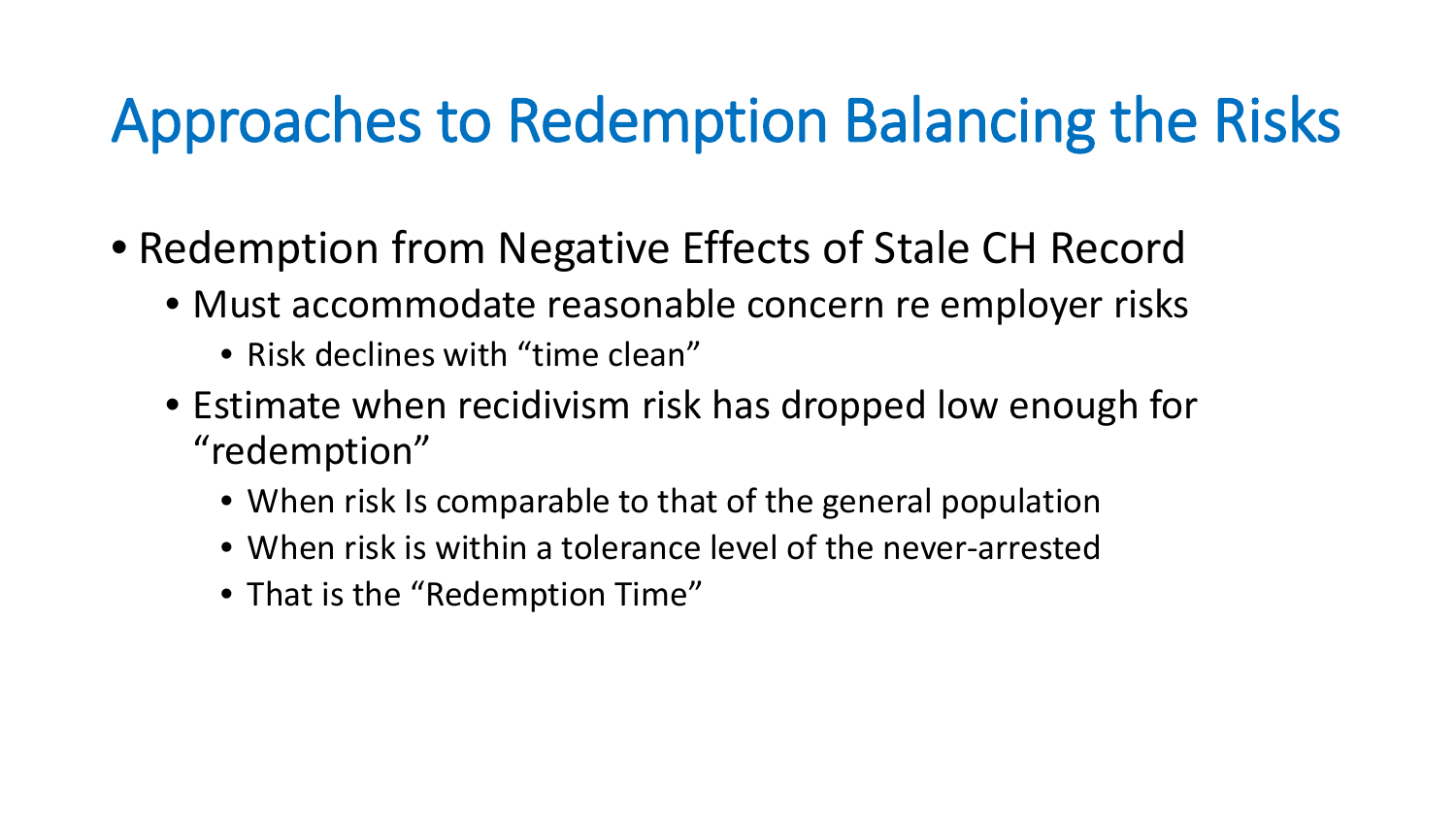### Approaches to Redemption Balancing the Risks

- Redemption from Negative Effects of Stale CH Record
	- Must accommodate reasonable concern re employer risks
		- Risk declines with "time clean"
	- Estimate when recidivism risk has dropped low enough for "redemption"
		- When risk Is comparable to that of the general population
		- When risk is within a tolerance level of the never-arrested
		- That is the "Redemption Time"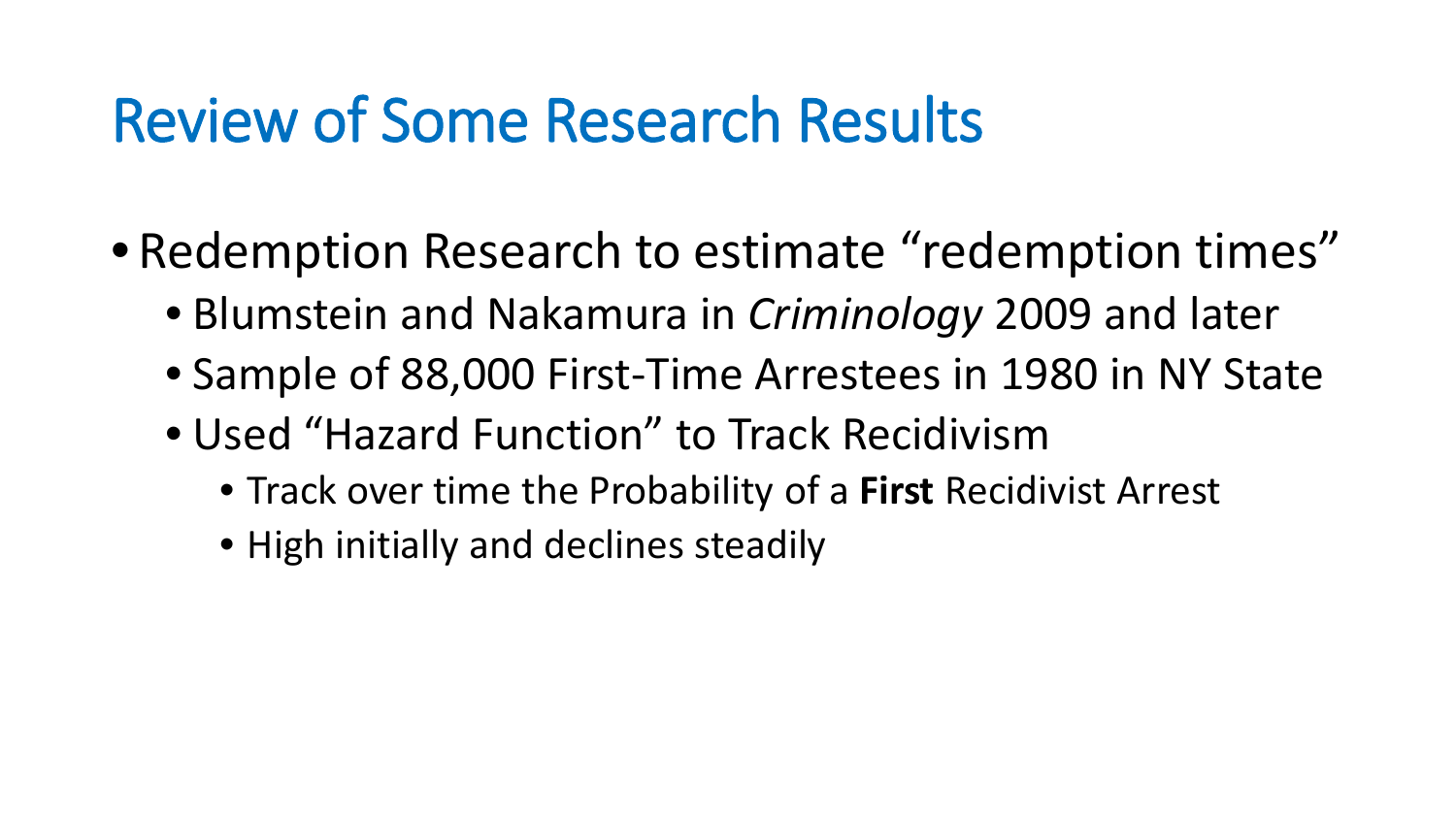#### Review of Some Research Results

- Redemption Research to estimate "redemption times"
	- Blumstein and Nakamura in *Criminology* 2009 and later
	- Sample of 88,000 First-Time Arrestees in 1980 in NY State
	- Used "Hazard Function" to Track Recidivism
		- Track over time the Probability of a **First** Recidivist Arrest
		- High initially and declines steadily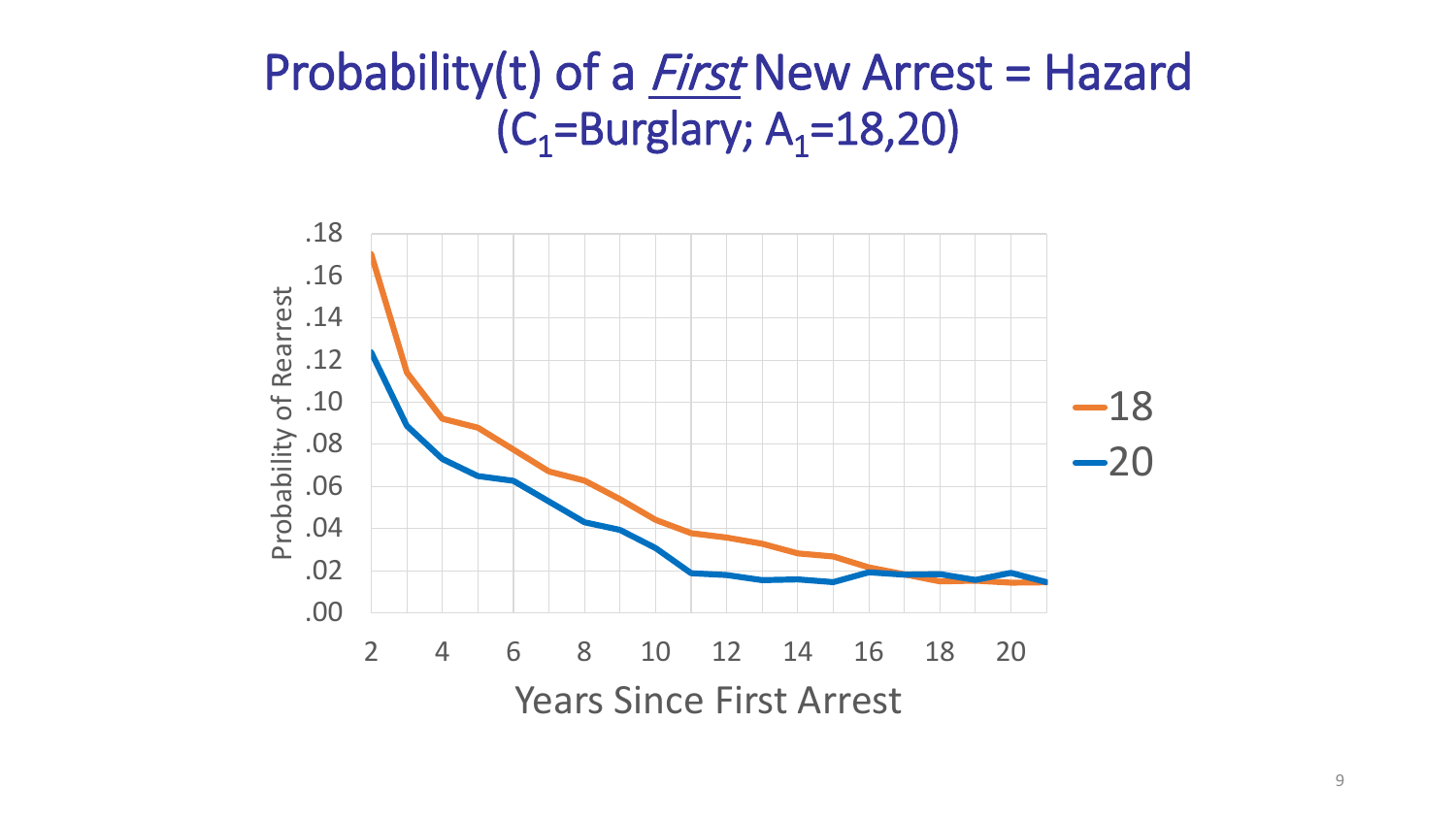#### Probability(t) of a *First* New Arrest = Hazard  $(C_1 = Burglary; A_1 = 18,20)$

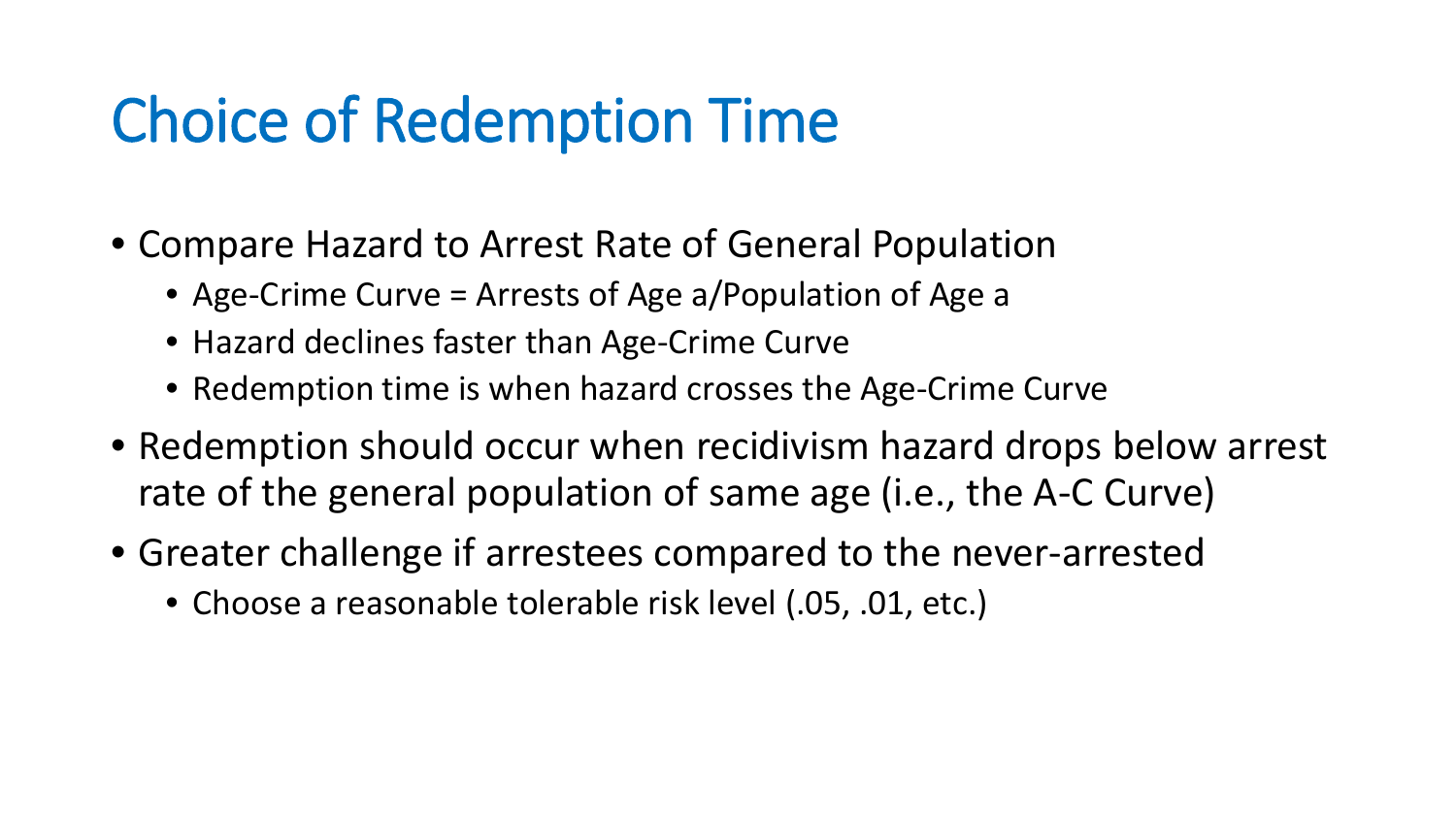### Choice of Redemption Time

- Compare Hazard to Arrest Rate of General Population
	- Age-Crime Curve = Arrests of Age a/Population of Age a
	- Hazard declines faster than Age-Crime Curve
	- Redemption time is when hazard crosses the Age-Crime Curve
- Redemption should occur when recidivism hazard drops below arrest rate of the general population of same age (i.e., the A-C Curve)
- Greater challenge if arrestees compared to the never-arrested
	- Choose a reasonable tolerable risk level (.05, .01, etc.)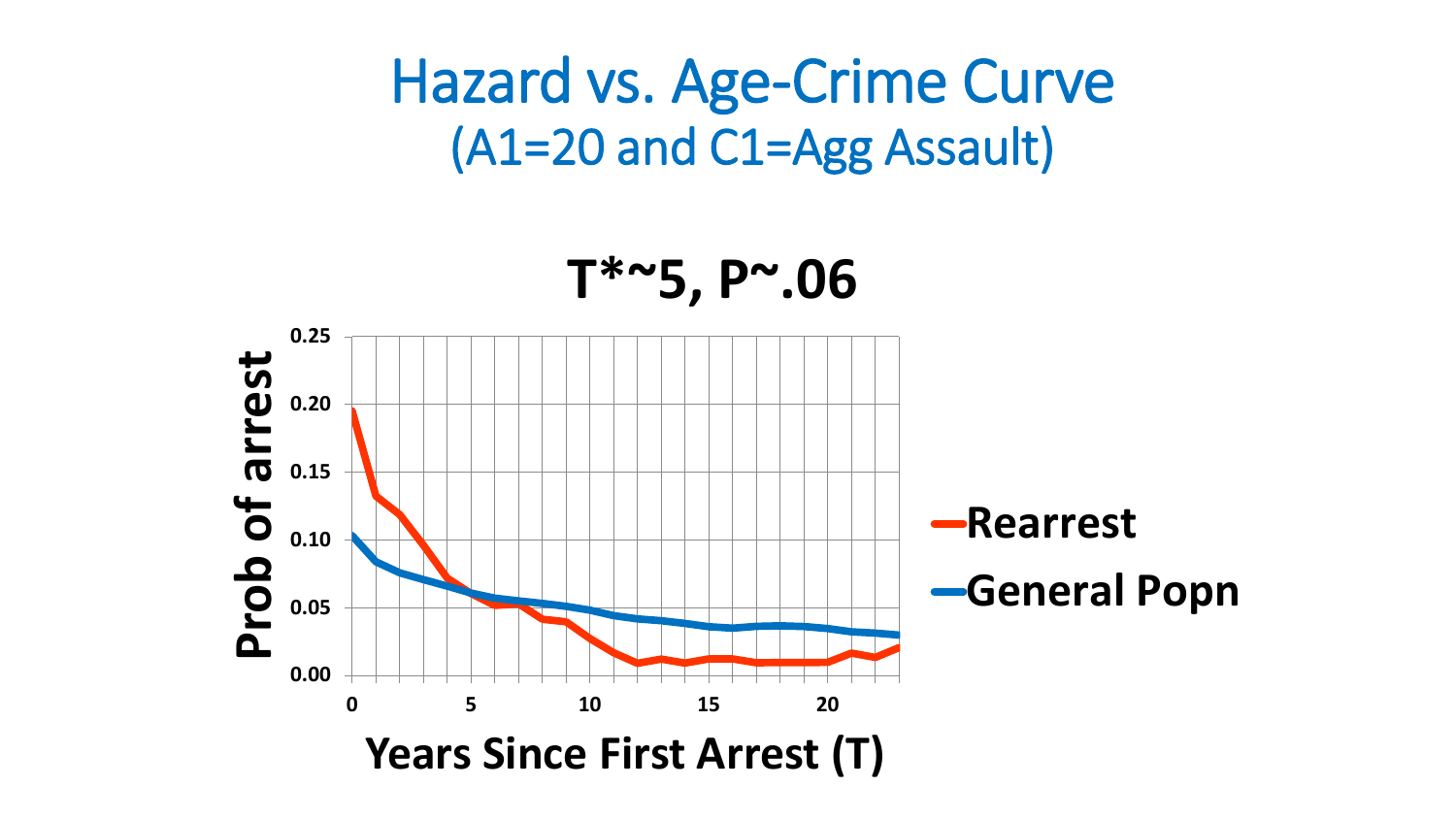Hazard vs. Age-Crime Curve (A1=20 and C1=Agg Assault)

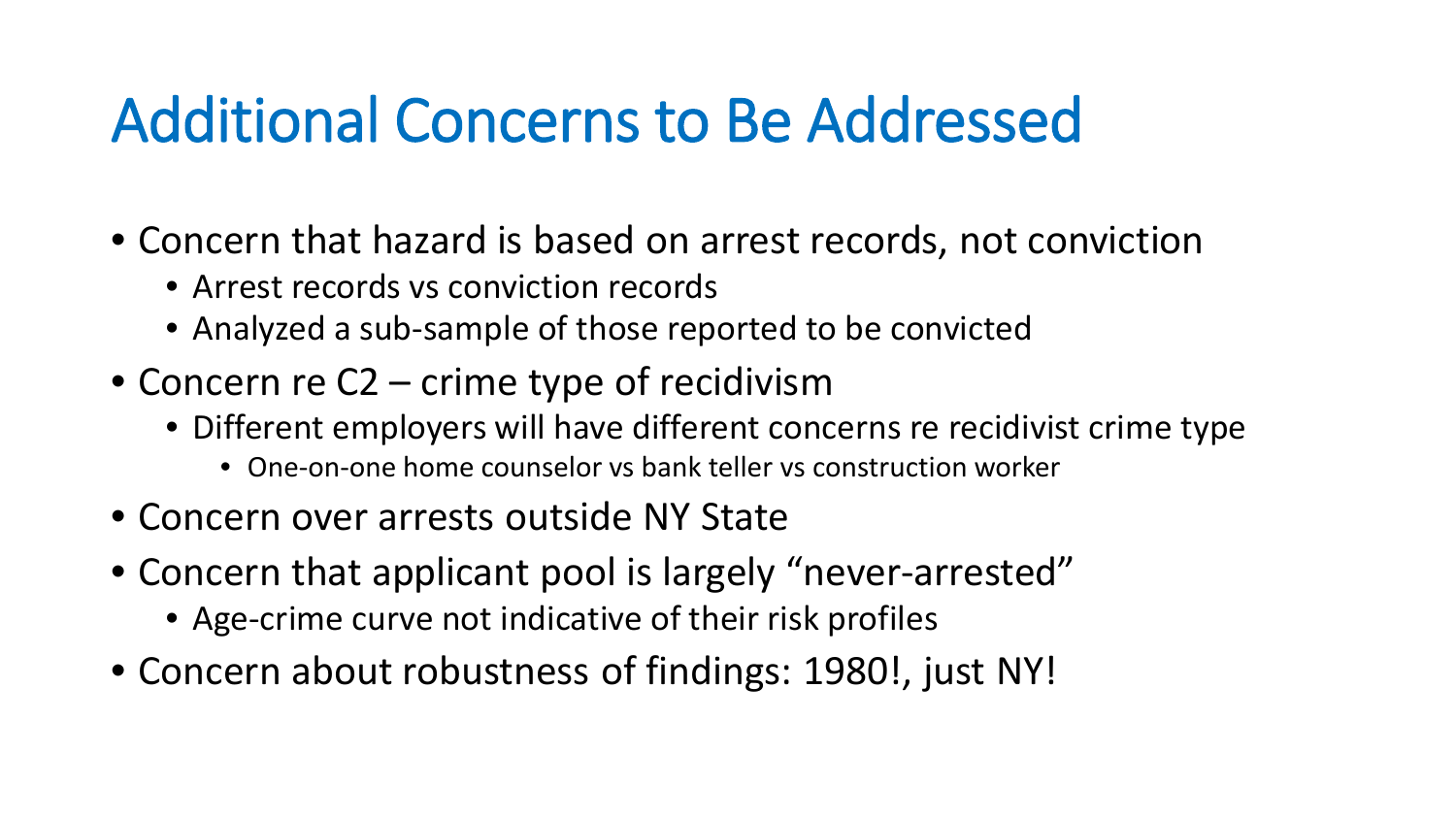### Additional Concerns to Be Addressed

- Concern that hazard is based on arrest records, not conviction
	- Arrest records vs conviction records
	- Analyzed a sub-sample of those reported to be convicted
- Concern re C2 crime type of recidivism
	- Different employers will have different concerns re recidivist crime type
		- One-on-one home counselor vs bank teller vs construction worker
- Concern over arrests outside NY State
- Concern that applicant pool is largely "never-arrested"
	- Age-crime curve not indicative of their risk profiles
- Concern about robustness of findings: 1980!, just NY!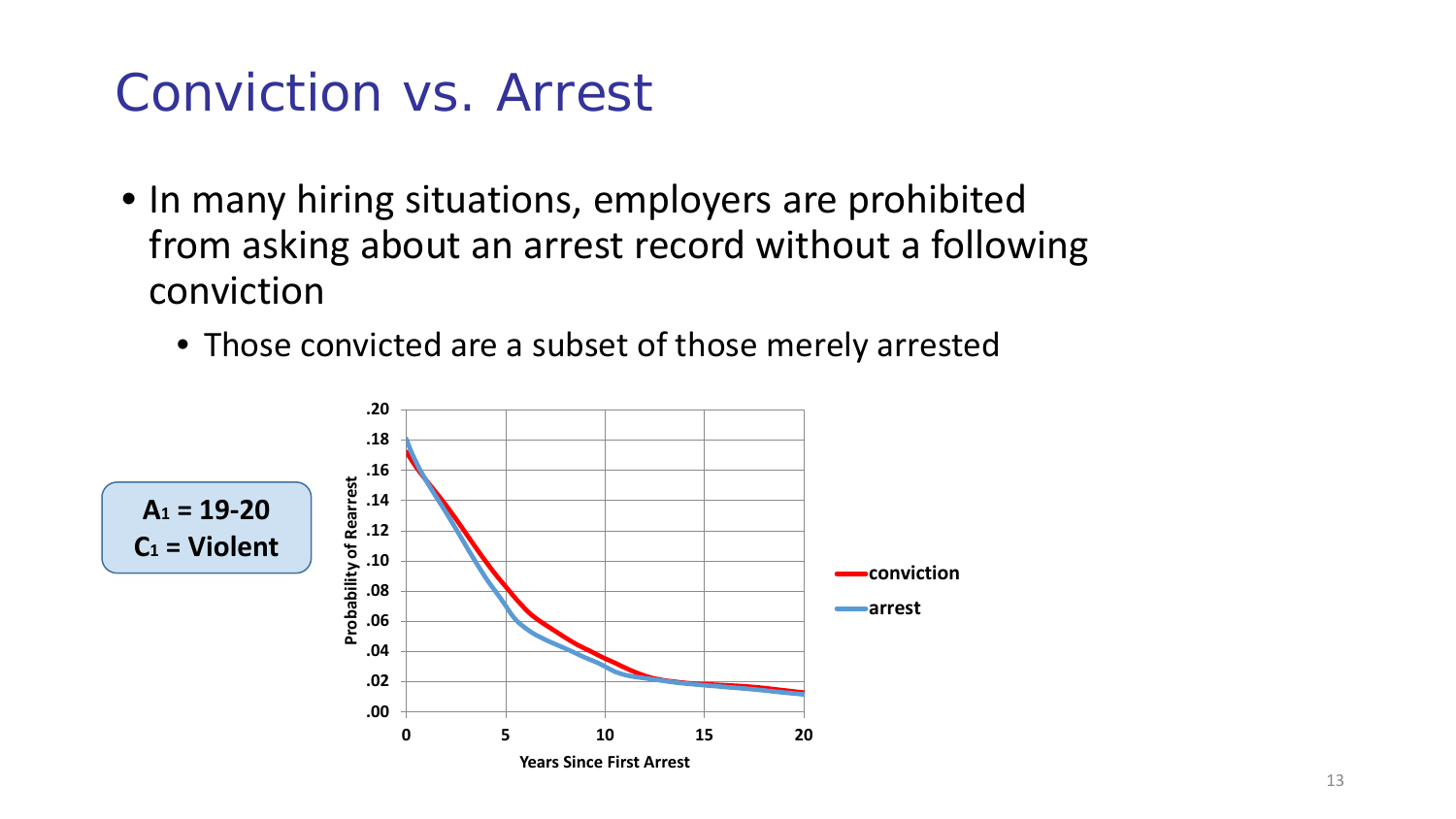#### Conviction vs. Arrest

- In many hiring situations, employers are prohibited from asking about an arrest record without a following conviction
	- Those convicted are a subset of those merely arrested

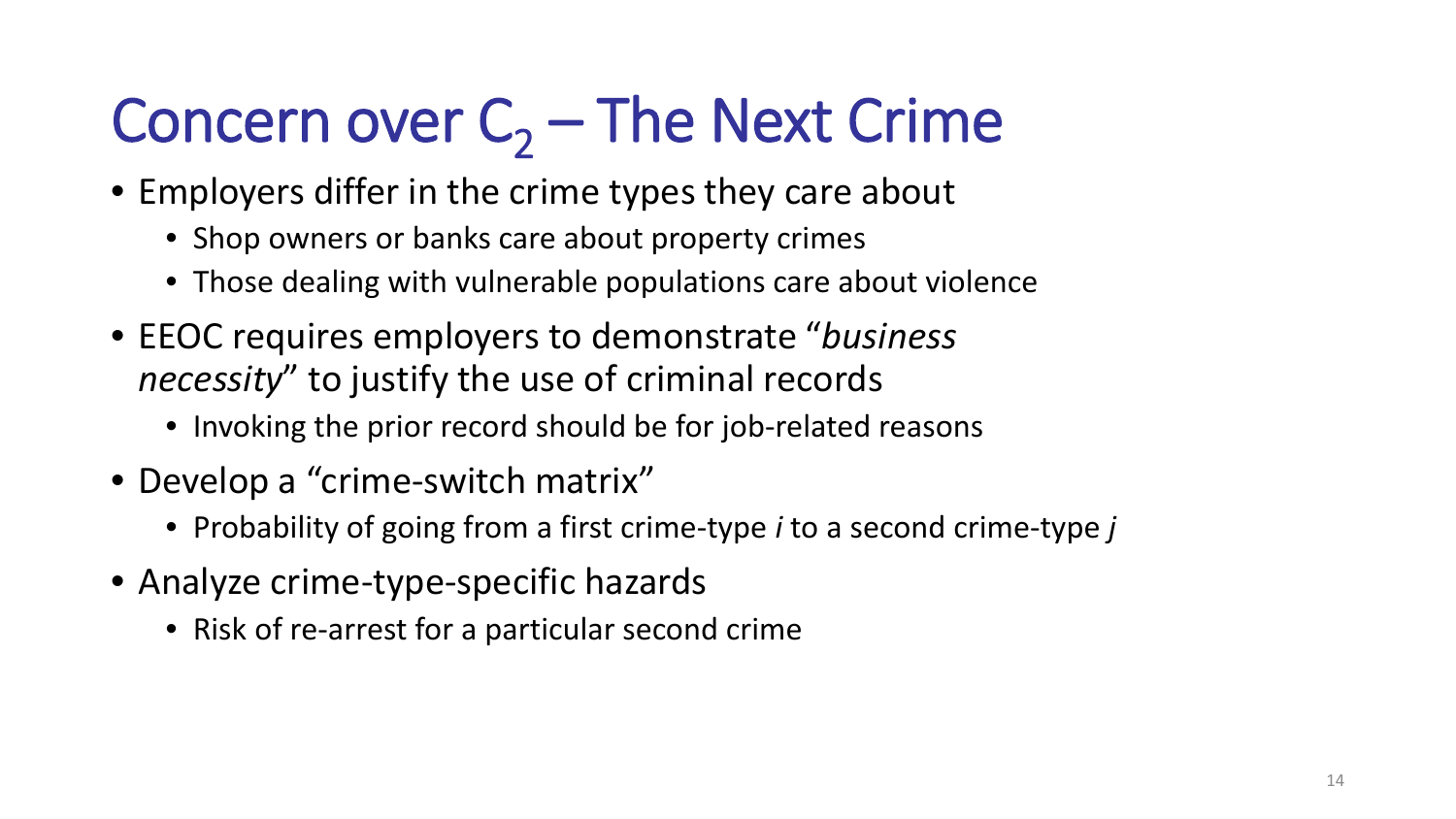# Concern over  $C_2$  – The Next Crime

- Employers differ in the crime types they care about
	- Shop owners or banks care about property crimes
	- Those dealing with vulnerable populations care about violence
- EEOC requires employers to demonstrate "*business necessity*" to justify the use of criminal records
	- Invoking the prior record should be for job-related reasons
- Develop a "crime-switch matrix"
	- Probability of going from a first crime-type *i* to a second crime-type *j*
- Analyze crime-type-specific hazards
	- Risk of re-arrest for a particular second crime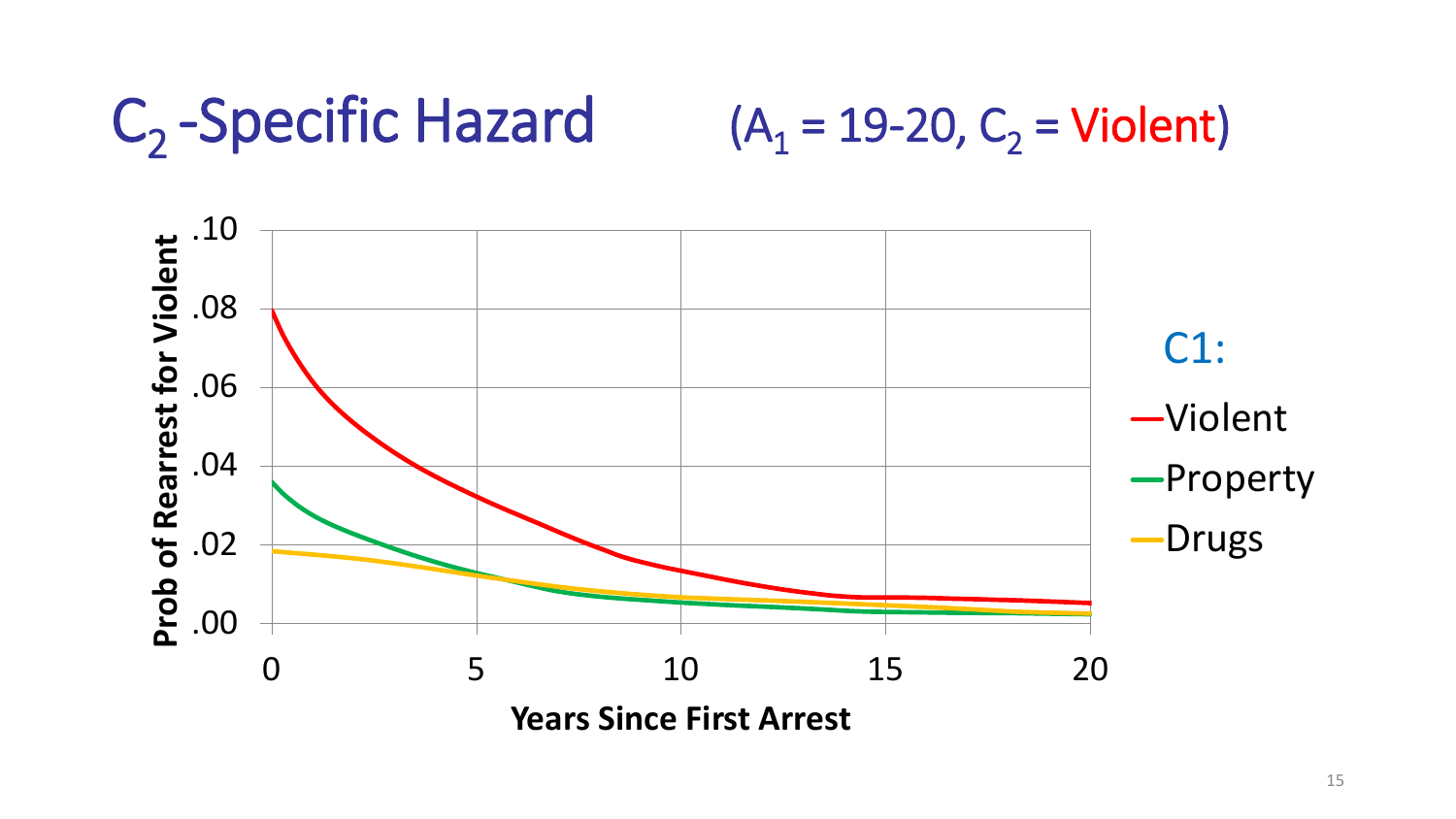### $C_2$ -Specific Hazard (A<sub>1</sub> = 19-20, C<sub>2</sub> = Violent)

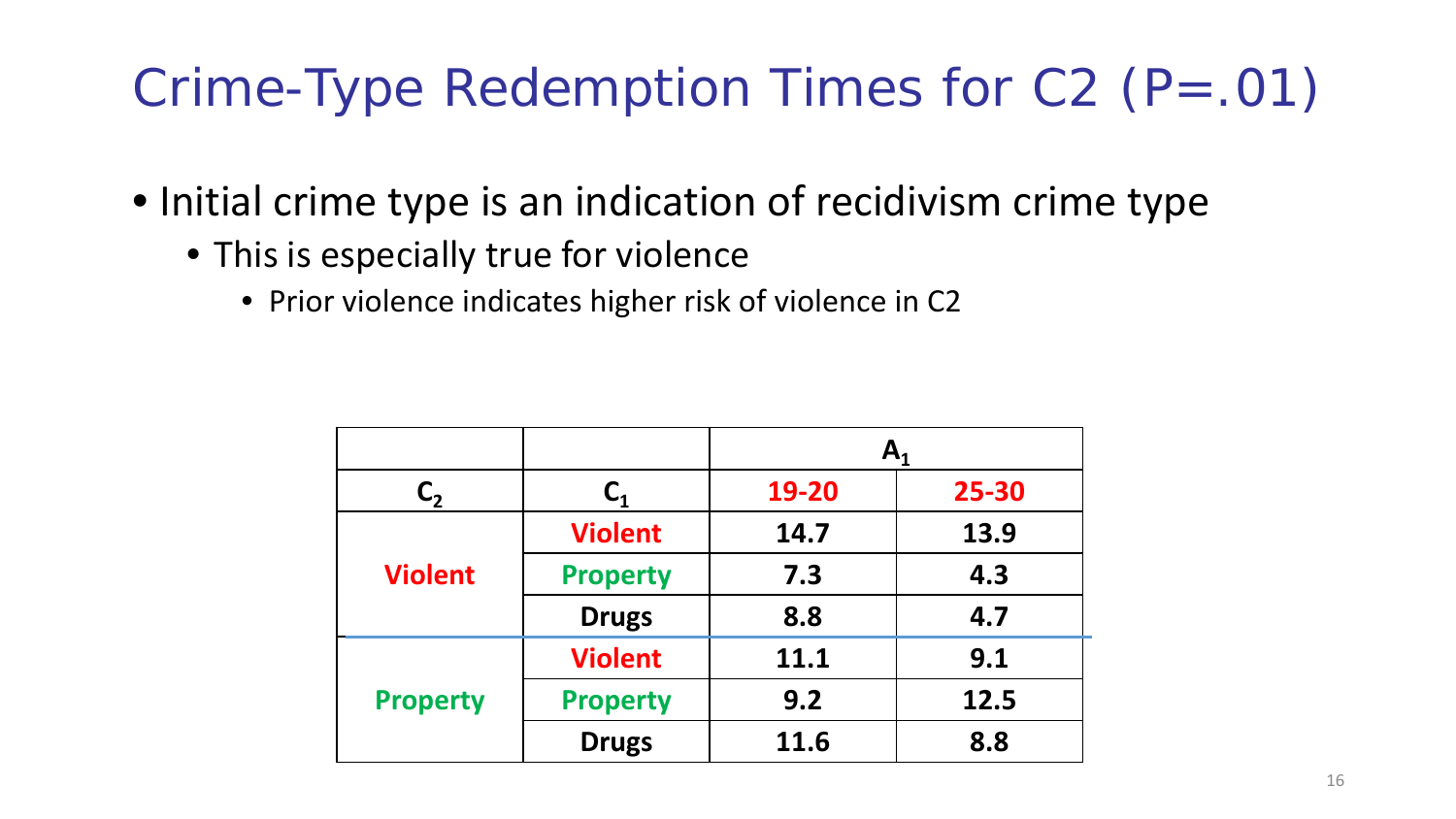#### Crime-Type Redemption Times for C2 (P=.01)

- Initial crime type is an indication of recidivism crime type
	- This is especially true for violence
		- Prior violence indicates higher risk of violence in C2

|                 |                 | $\mathbf{A}_1$ |       |
|-----------------|-----------------|----------------|-------|
| $\mathsf{C}_2$  |                 | 19-20          | 25-30 |
| <b>Violent</b>  | <b>Violent</b>  | 14.7           | 13.9  |
|                 | <b>Property</b> | 7.3            | 4.3   |
|                 | <b>Drugs</b>    | 8.8            | 4.7   |
| <b>Property</b> | <b>Violent</b>  | 11.1           | 9.1   |
|                 | <b>Property</b> | 9.2            | 12.5  |
|                 | <b>Drugs</b>    | 11.6           | 8.8   |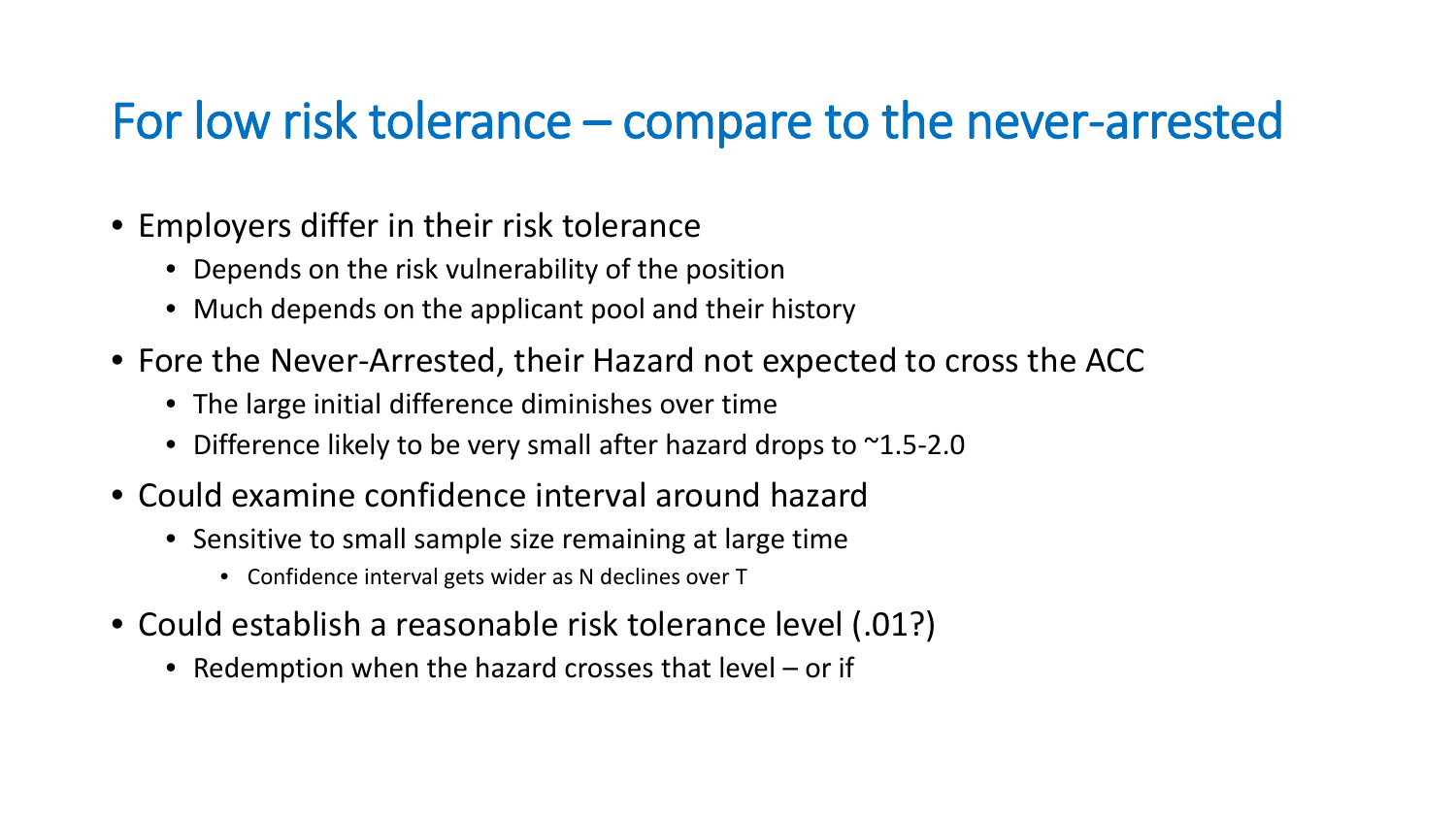#### For low risk tolerance – compare to the never-arrested

- Employers differ in their risk tolerance
	- Depends on the risk vulnerability of the position
	- Much depends on the applicant pool and their history
- Fore the Never-Arrested, their Hazard not expected to cross the ACC
	- The large initial difference diminishes over time
	- Difference likely to be very small after hazard drops to ~1.5-2.0
- Could examine confidence interval around hazard
	- Sensitive to small sample size remaining at large time
		- Confidence interval gets wider as N declines over T
- Could establish a reasonable risk tolerance level (.01?)
	- Redemption when the hazard crosses that level or if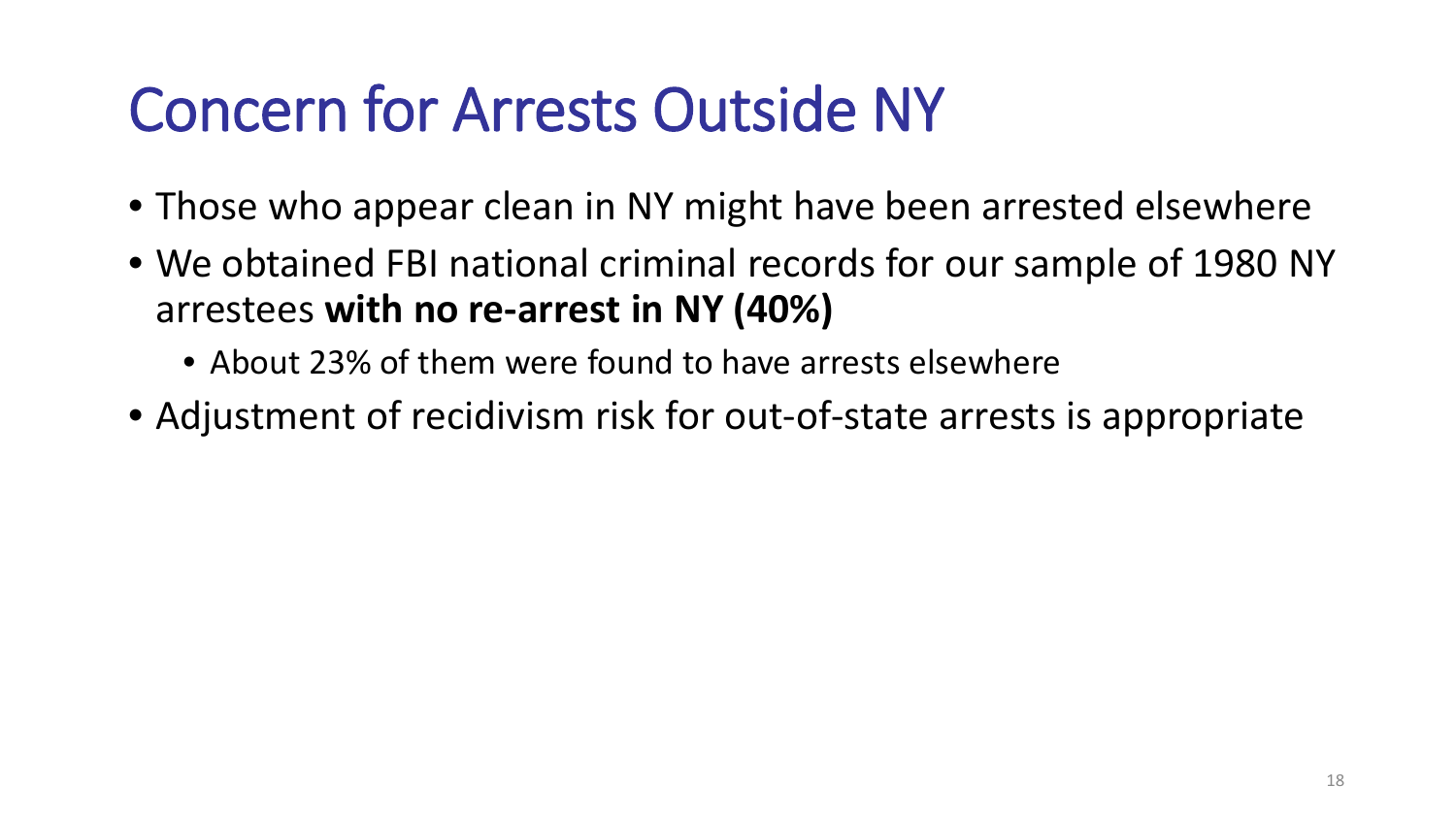### Concern for Arrests Outside NY

- Those who appear clean in NY might have been arrested elsewhere
- We obtained FBI national criminal records for our sample of 1980 NY arrestees **with no re-arrest in NY (40%)**
	- About 23% of them were found to have arrests elsewhere
- Adjustment of recidivism risk for out-of-state arrests is appropriate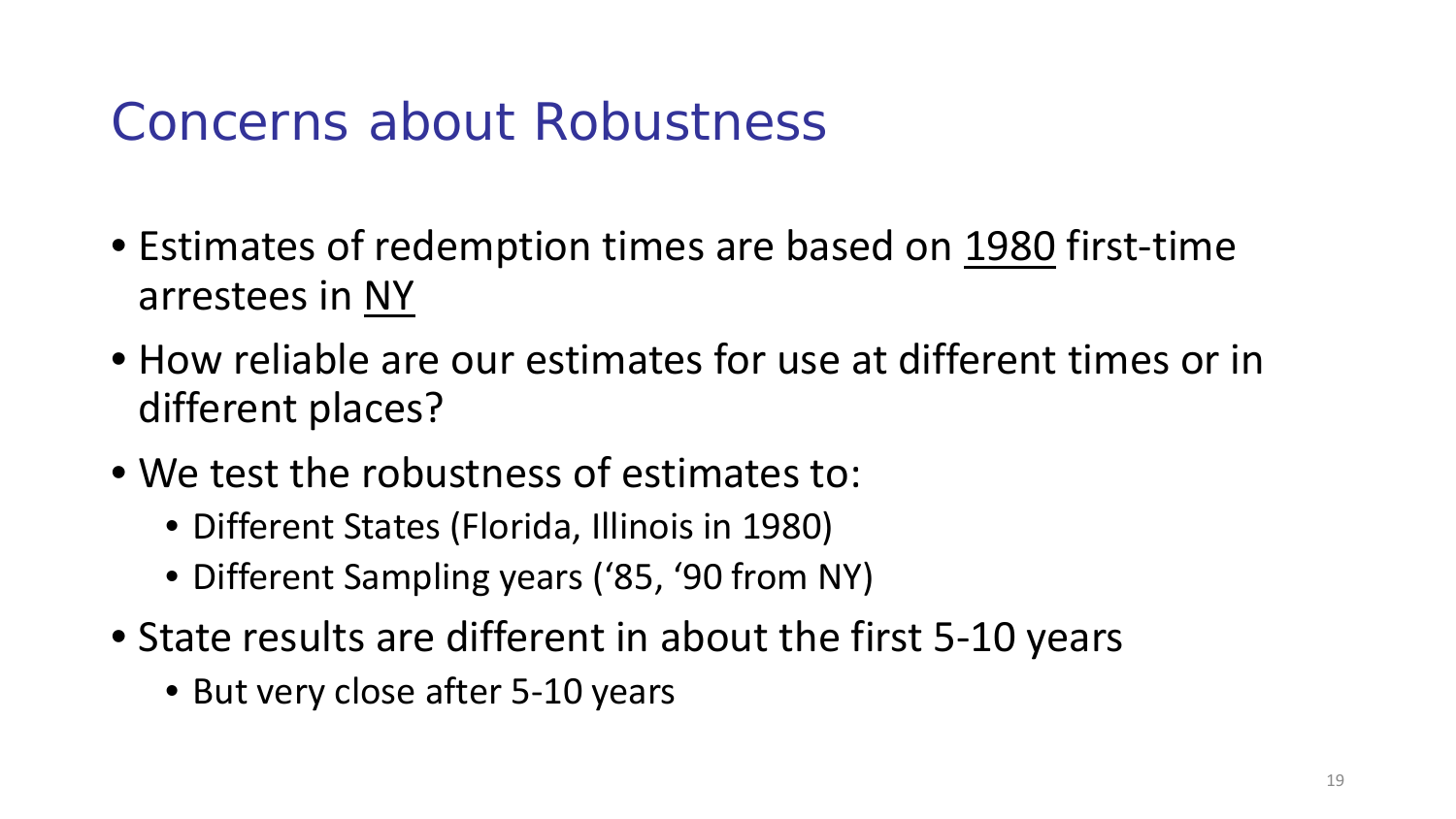#### Concerns about Robustness

- Estimates of redemption times are based on 1980 first-time arrestees in NY
- How reliable are our estimates for use at different times or in different places?
- We test the robustness of estimates to:
	- Different States (Florida, Illinois in 1980)
	- Different Sampling years ('85, '90 from NY)
- State results are different in about the first 5-10 years
	- But very close after 5-10 years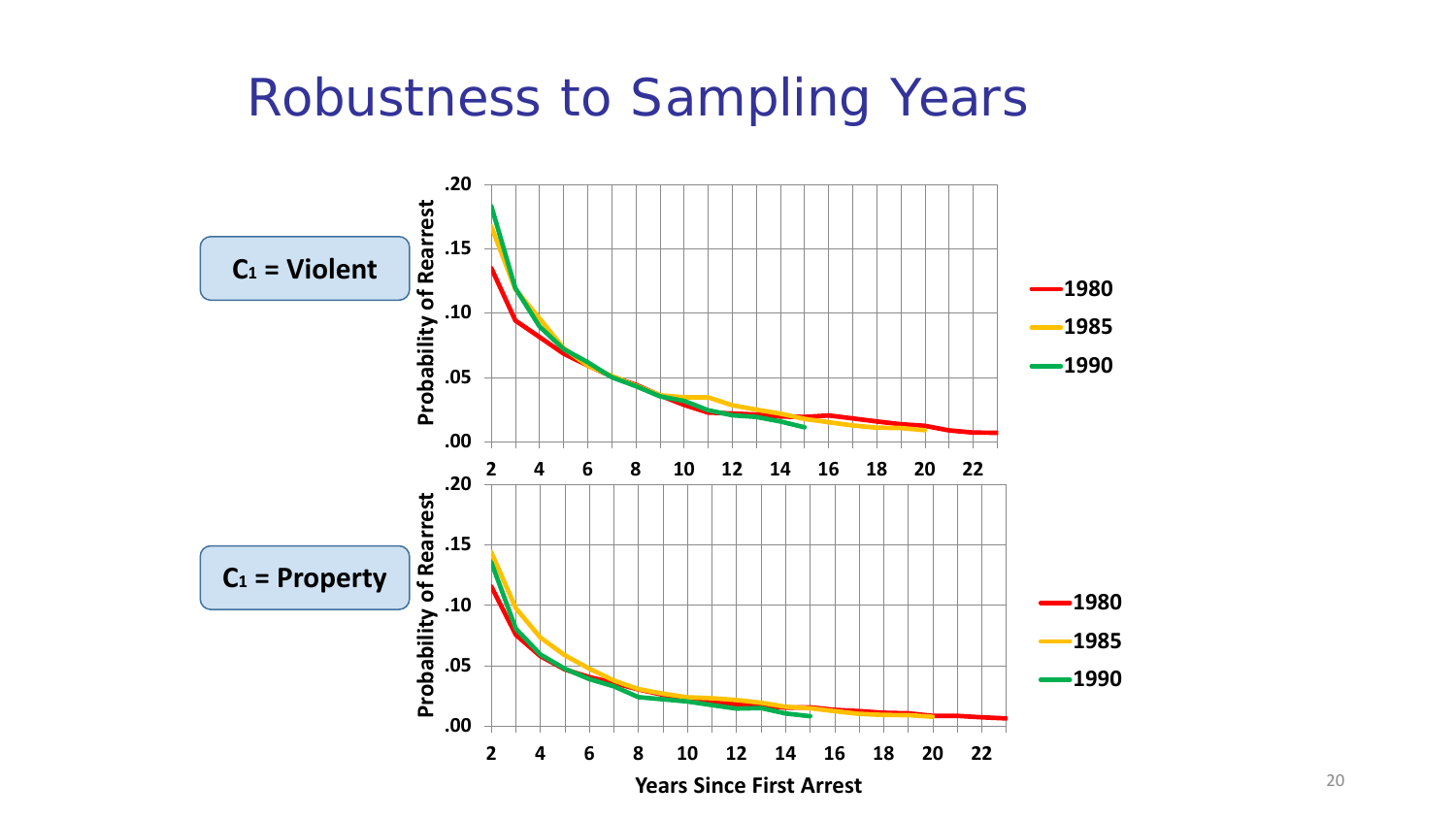#### Robustness to Sampling Years

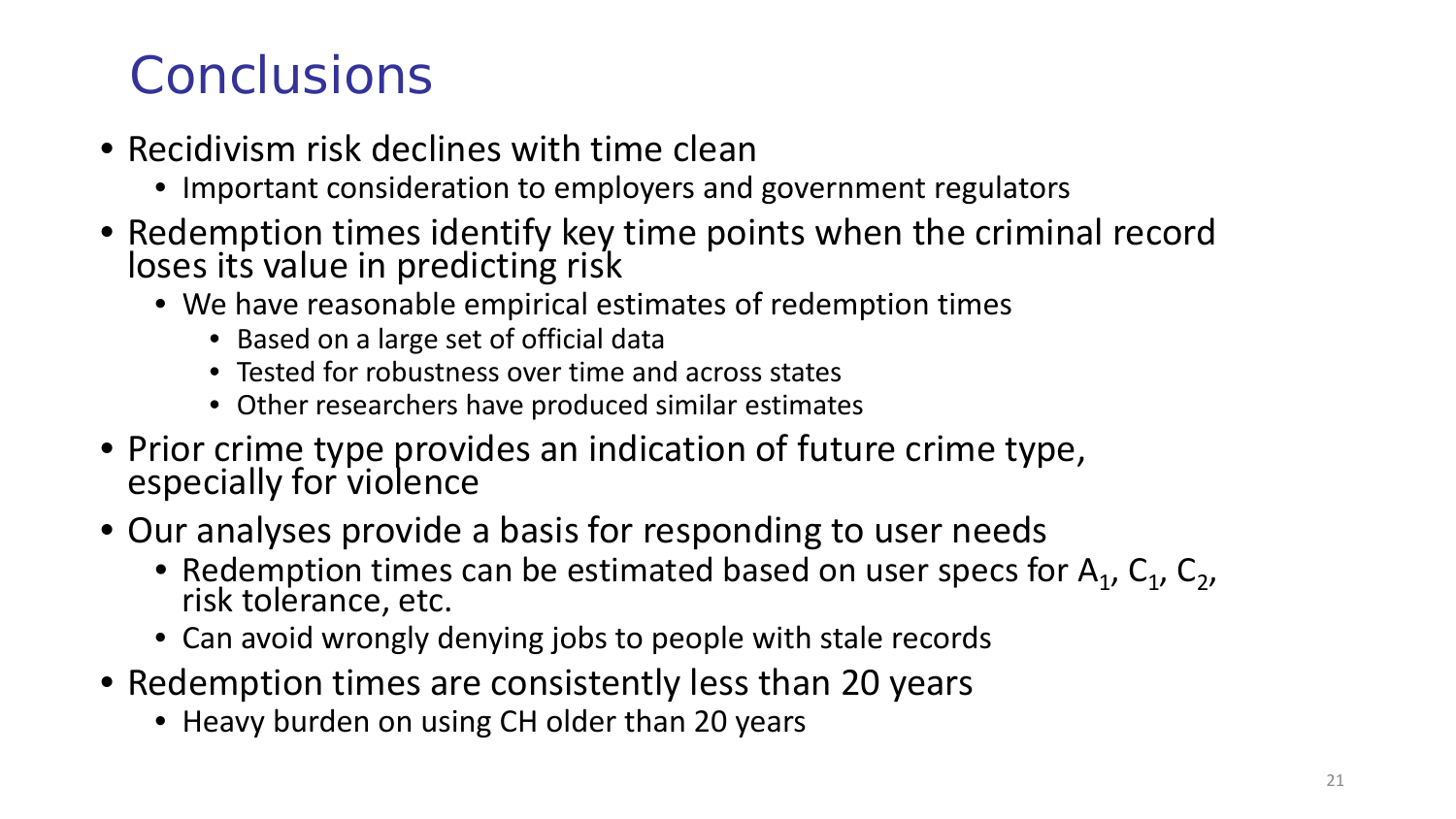#### Conclusions

- Recidivism risk declines with time clean
	- Important consideration to employers and government regulators
- Redemption times identify key time points when the criminal record loses its value in predicting risk
	- We have reasonable empirical estimates of redemption times
		- Based on a large set of official data
		- Tested for robustness over time and across states
		- Other researchers have produced similar estimates
- Prior crime type provides an indication of future crime type, especially for violence
- Our analyses provide a basis for responding to user needs
	- Redemption times can be estimated based on user specs for  $A_1$ ,  $C_1$ ,  $C_2$ , risk tolerance, etc.
	- Can avoid wrongly denying jobs to people with stale records
- Redemption times are consistently less than 20 years
	- Heavy burden on using CH older than 20 years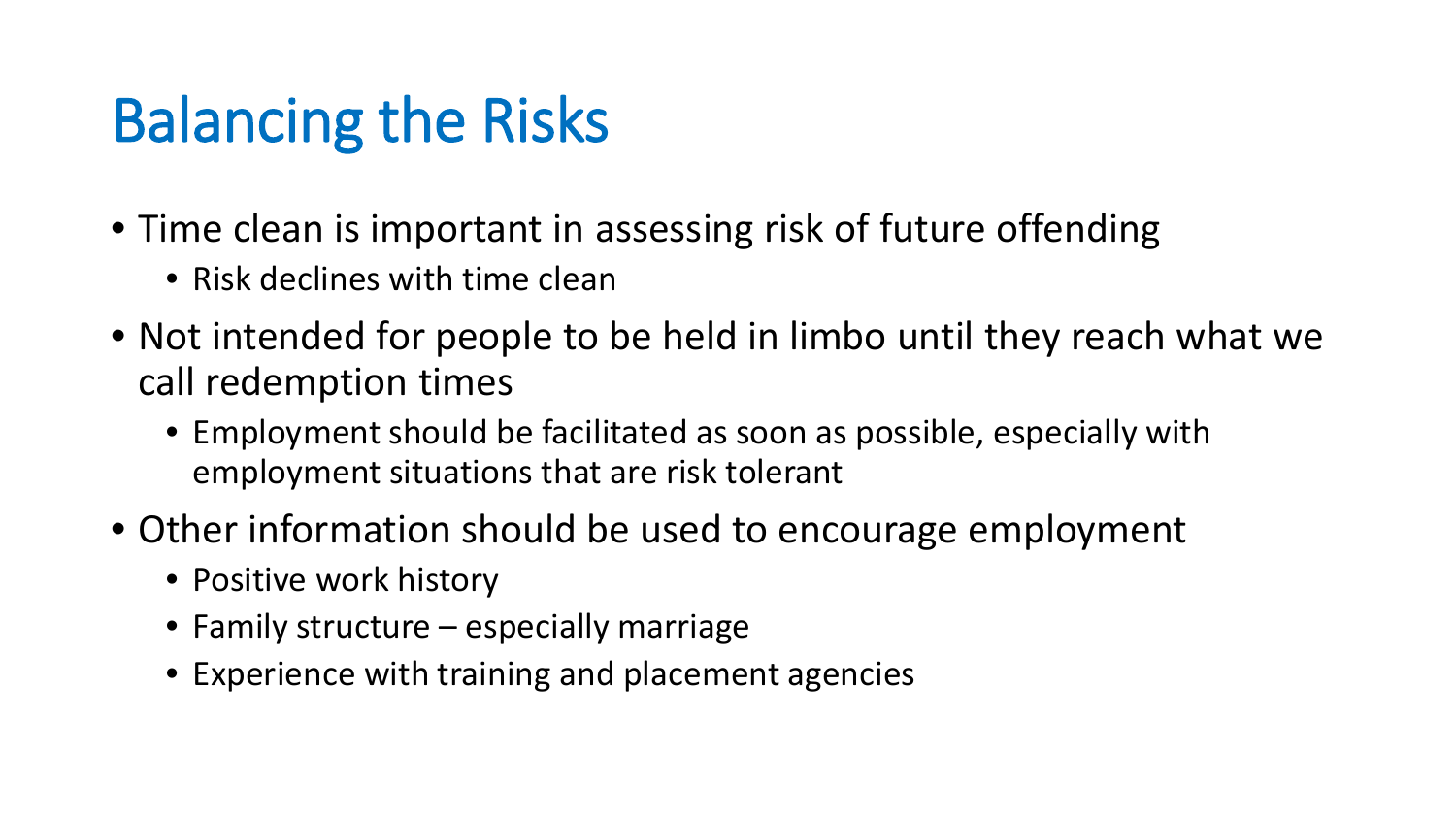### Balancing the Risks

- Time clean is important in assessing risk of future offending
	- Risk declines with time clean
- Not intended for people to be held in limbo until they reach what we call redemption times
	- Employment should be facilitated as soon as possible, especially with employment situations that are risk tolerant
- Other information should be used to encourage employment
	- Positive work history
	- Family structure especially marriage
	- Experience with training and placement agencies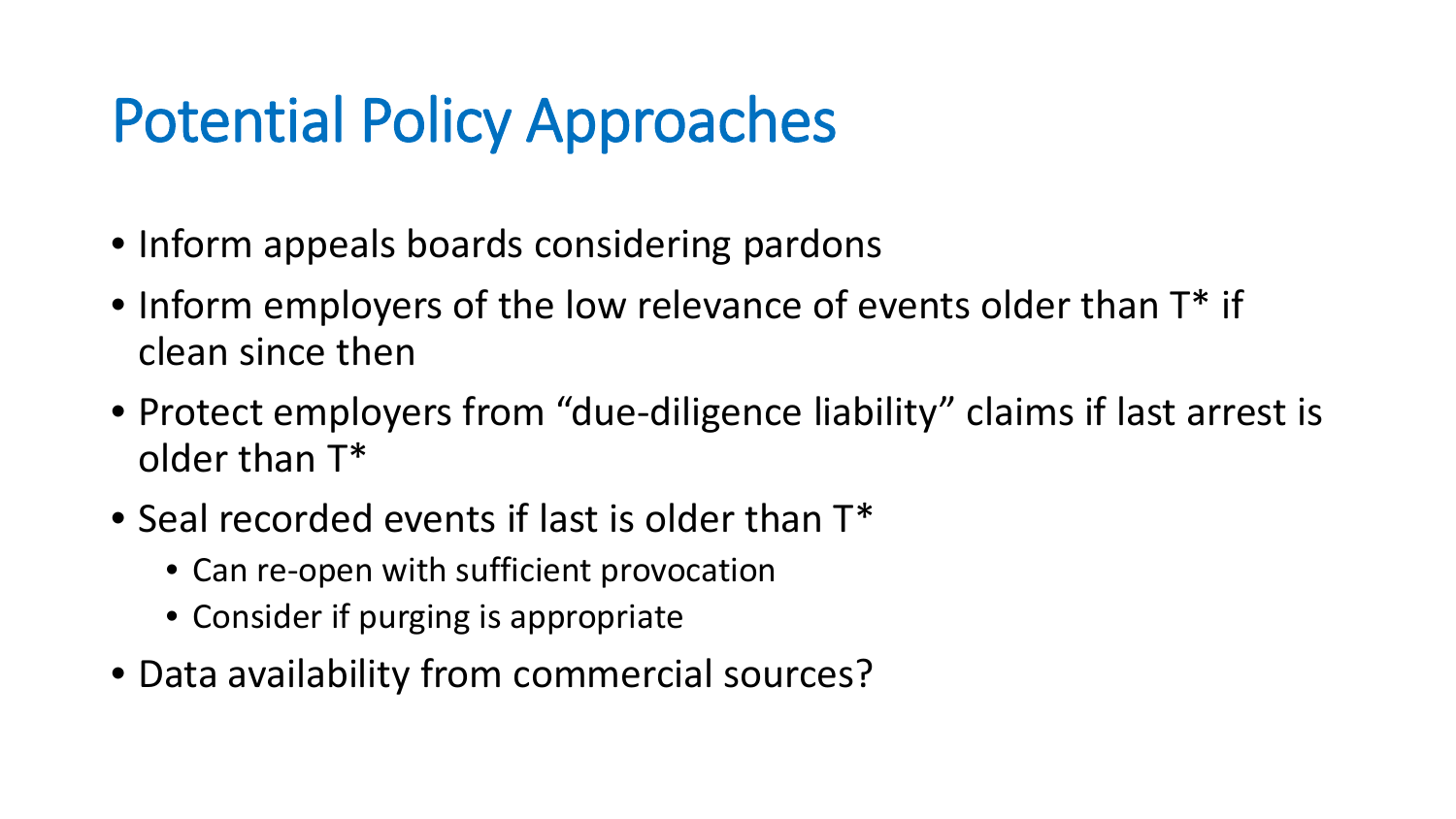### Potential Policy Approaches

- Inform appeals boards considering pardons
- Inform employers of the low relevance of events older than  $T^*$  if clean since then
- Protect employers from "due-diligence liability" claims if last arrest is older than T\*
- Seal recorded events if last is older than  $T^*$ 
	- Can re-open with sufficient provocation
	- Consider if purging is appropriate
- Data availability from commercial sources?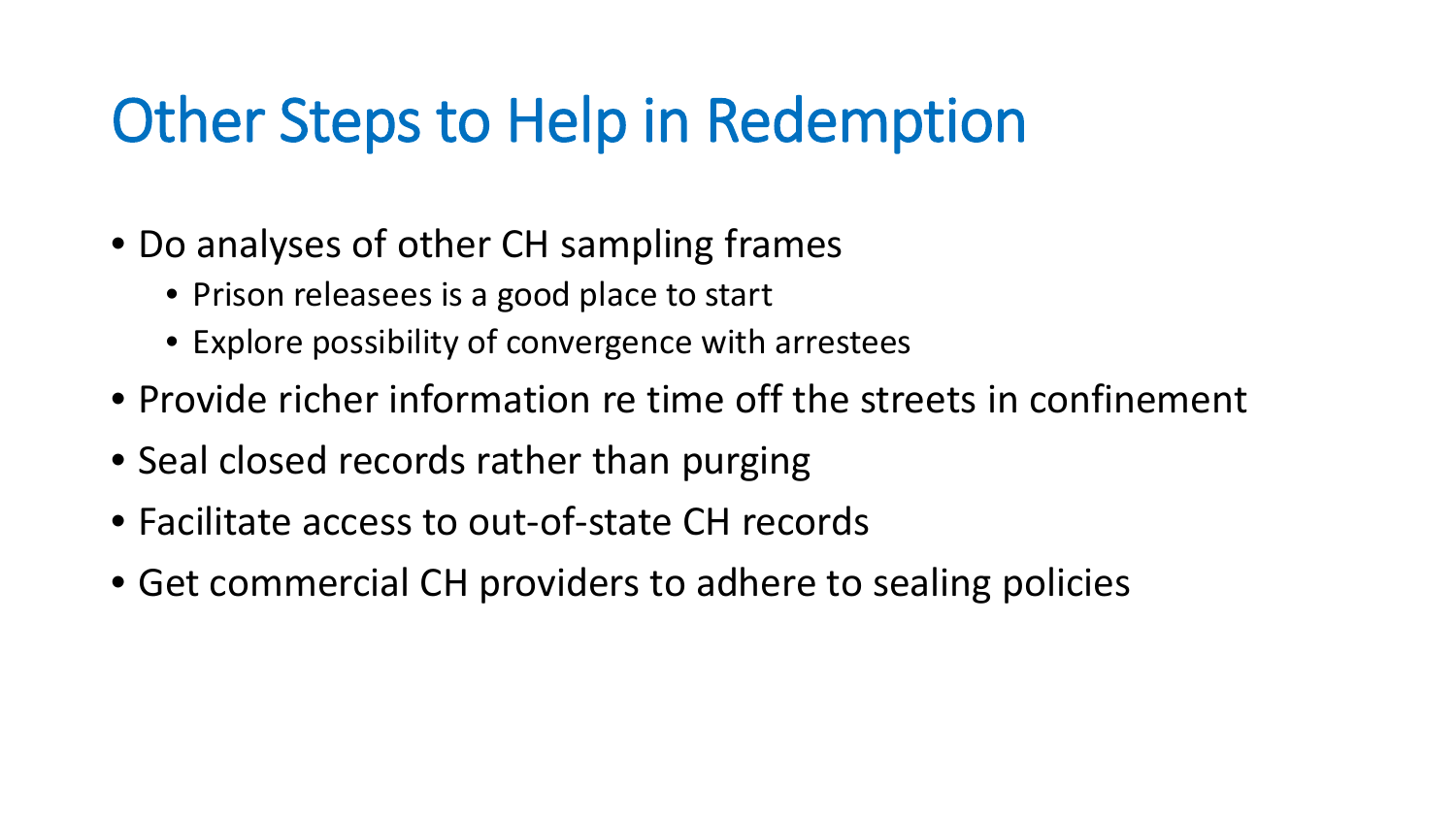#### Other Steps to Help in Redemption

- Do analyses of other CH sampling frames
	- Prison releasees is a good place to start
	- Explore possibility of convergence with arrestees
- Provide richer information re time off the streets in confinement
- Seal closed records rather than purging
- Facilitate access to out-of-state CH records
- Get commercial CH providers to adhere to sealing policies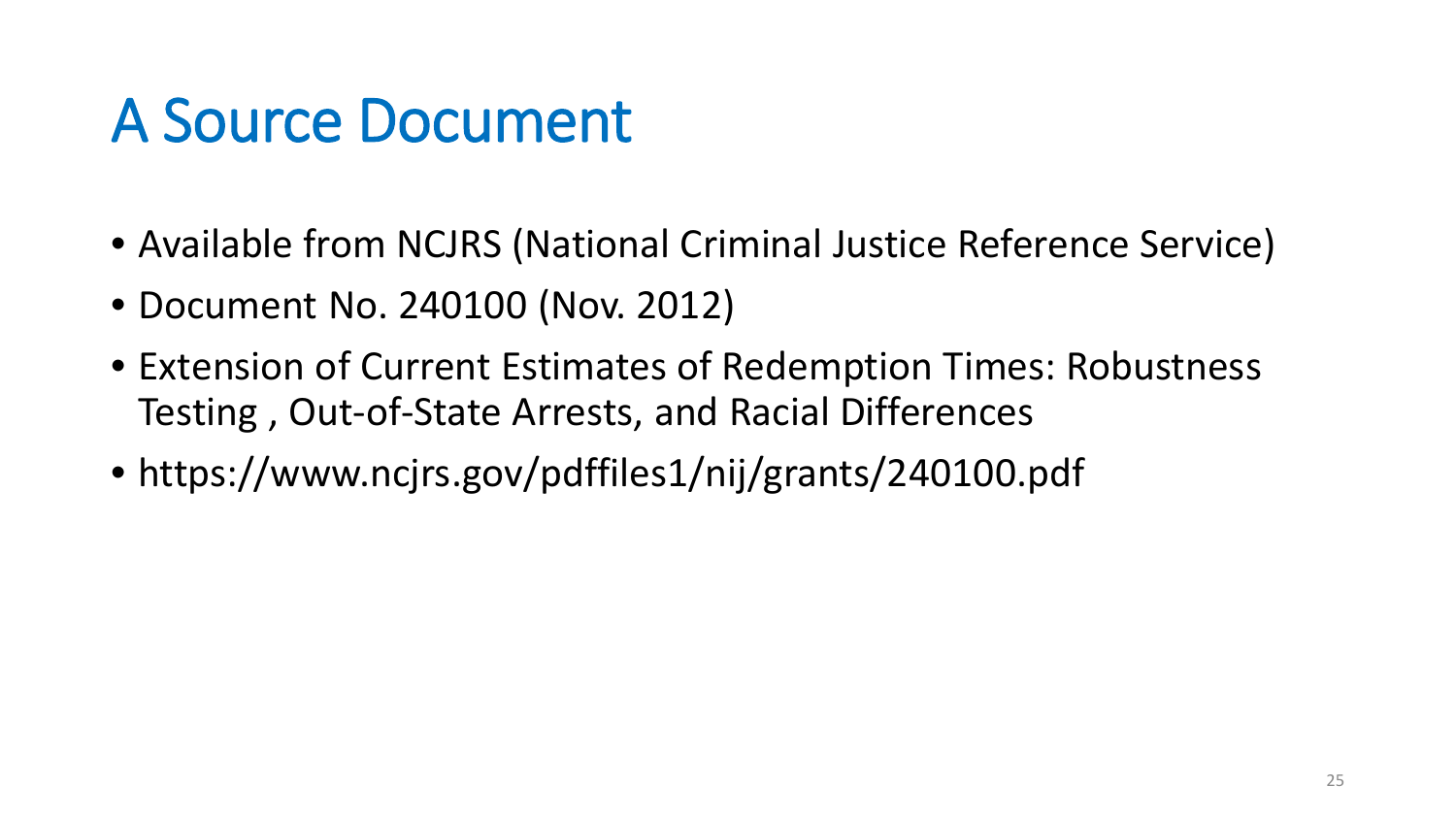#### A Source Document

- Available from NCJRS (National Criminal Justice Reference Service)
- Document No. 240100 (Nov. 2012)
- Extension of Current Estimates of Redemption Times: Robustness Testing , Out-of-State Arrests, and Racial Differences
- https://www.ncjrs.gov/pdffiles1/nij/grants/240100.pdf